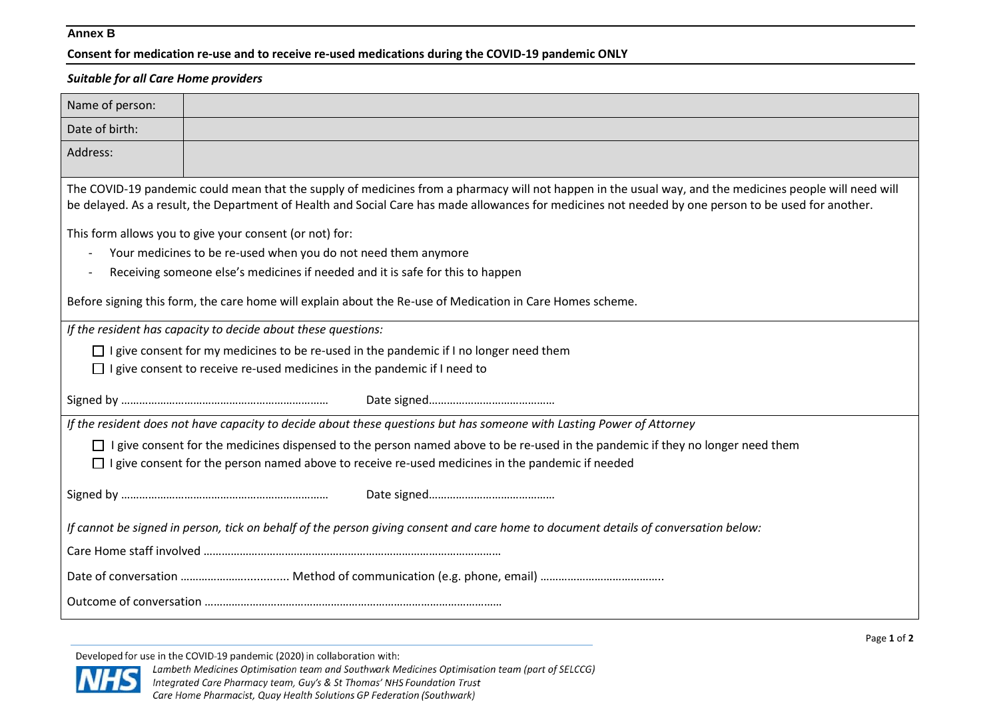## **Annex B**

**Consent for medication re-use and to receive re-used medications during the COVID-19 pandemic ONLY**

## *Suitable for all Care Home providers*

| Name of person:                                                                                                                                                                                                                                                                                                 |  |  |
|-----------------------------------------------------------------------------------------------------------------------------------------------------------------------------------------------------------------------------------------------------------------------------------------------------------------|--|--|
| Date of birth:                                                                                                                                                                                                                                                                                                  |  |  |
| Address:                                                                                                                                                                                                                                                                                                        |  |  |
| The COVID-19 pandemic could mean that the supply of medicines from a pharmacy will not happen in the usual way, and the medicines people will need will<br>be delayed. As a result, the Department of Health and Social Care has made allowances for medicines not needed by one person to be used for another. |  |  |
| This form allows you to give your consent (or not) for:                                                                                                                                                                                                                                                         |  |  |
| Your medicines to be re-used when you do not need them anymore                                                                                                                                                                                                                                                  |  |  |
| Receiving someone else's medicines if needed and it is safe for this to happen                                                                                                                                                                                                                                  |  |  |
| Before signing this form, the care home will explain about the Re-use of Medication in Care Homes scheme.                                                                                                                                                                                                       |  |  |
| If the resident has capacity to decide about these questions:                                                                                                                                                                                                                                                   |  |  |
| $\Box$ I give consent for my medicines to be re-used in the pandemic if I no longer need them                                                                                                                                                                                                                   |  |  |
| $\Box$ I give consent to receive re-used medicines in the pandemic if I need to                                                                                                                                                                                                                                 |  |  |
|                                                                                                                                                                                                                                                                                                                 |  |  |
| If the resident does not have capacity to decide about these questions but has someone with Lasting Power of Attorney                                                                                                                                                                                           |  |  |
| I give consent for the medicines dispensed to the person named above to be re-used in the pandemic if they no longer need them                                                                                                                                                                                  |  |  |
| $\Box$ I give consent for the person named above to receive re-used medicines in the pandemic if needed                                                                                                                                                                                                         |  |  |
|                                                                                                                                                                                                                                                                                                                 |  |  |
| If cannot be signed in person, tick on behalf of the person giving consent and care home to document details of conversation below:                                                                                                                                                                             |  |  |
|                                                                                                                                                                                                                                                                                                                 |  |  |
|                                                                                                                                                                                                                                                                                                                 |  |  |
|                                                                                                                                                                                                                                                                                                                 |  |  |

Developed for use in the COVID-19 pandemic (2020) in collaboration with:

Lambeth Medicines Optimisation team and Southwark Medicines Optimisation team (part of SELCCG)



Integrated Care Pharmacy team, Guy's & St Thomas' NHS Foundation Trust Care Home Pharmacist, Quay Health Solutions GP Federation (Southwark)